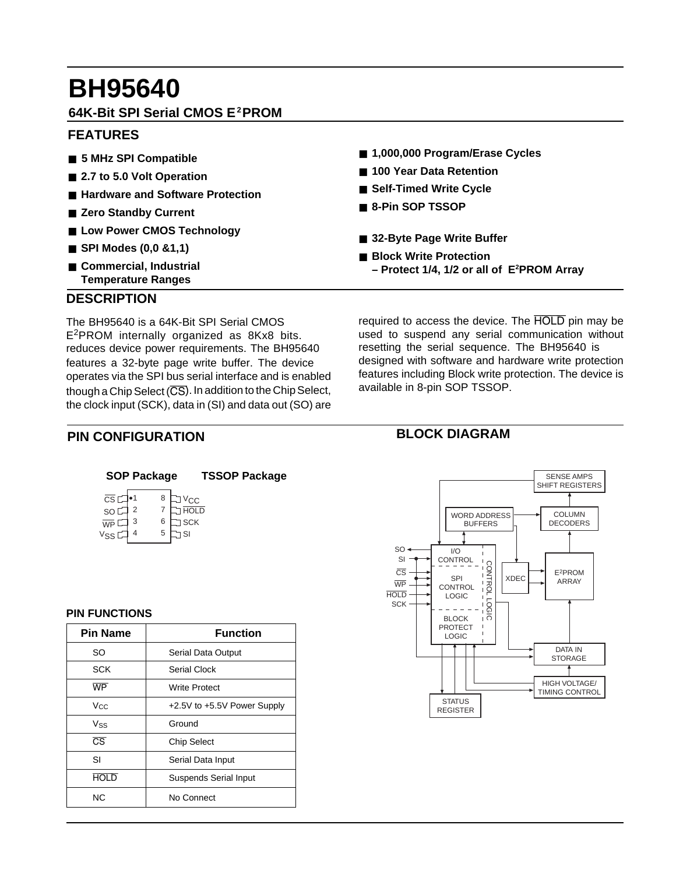# **BH95640**

# **64K-Bit SPI Serial CMOS E2PROM**

# **FEATURES**

- 5 MHz SPI Compatible
- 2.7 to 5.0 Volt Operation
- **Hardware and Software Protection**
- Zero Standby Current
- Low Power CMOS Technology
- **SPI Modes (0,0 &1,1)**
- **Commercial, Industrial Temperature Ranges**
- 1,000,000 Program/Erase Cycles
- **100 Year Data Retention**
- Self-Timed Write Cycle
- 8-Pin SOP TSSOP
- 32-Byte Page Write Buffer
- **Block Write Protection – Protect 1/4, 1/2 or all of E2 PROM Array**

**BLOCK DIAGRAM**

# **DESCRIPTION**

reduces device power requirements. The BH95640 The BH95640 is a 64K-Bit SPI Serial CMOS E2PROM internally organized as 8Kx8 bits. features a 32-byte page write buffer. The device operates via the SPI bus serial interface and is enabled though a Chip Select (CS). In addition to the Chip Select. the clock input (SCK), data in (SI) and data out (SO) are

required to access the device. The HOLD pin may be used to suspend any serial communication without resetting the serial sequence. The BH95640 is designed with software and hardware write protection features including Block write protection. The device is available in 8-pin SOP TSSOP.

# **PIN CONFIGURATION**

| $\overline{\text{CS}}$ $\Gamma$ |   | 8 | V <sub>CC</sub> |
|---------------------------------|---|---|-----------------|
| SO                              |   |   | <b>HOLD</b>     |
| $\overline{\mathsf{WP}}$        | 3 | 6 | <b>SCK</b>      |
| <b>VSS</b>                      |   | 5 | SI              |

#### **PIN FUNCTIONS**

| <b>Pin Name</b>        | <b>Function</b>              |  |  |  |
|------------------------|------------------------------|--|--|--|
| SO                     | Serial Data Output           |  |  |  |
| <b>SCK</b>             | Serial Clock                 |  |  |  |
| WP                     | Write Protect                |  |  |  |
| Vcc                    | +2.5V to +5.5V Power Supply  |  |  |  |
| <b>Vss</b>             | Ground                       |  |  |  |
| $\overline{\text{CS}}$ | <b>Chip Select</b>           |  |  |  |
| SI                     | Serial Data Input            |  |  |  |
| <b>HOLD</b>            | <b>Suspends Serial Input</b> |  |  |  |
| NC.                    | No Connect                   |  |  |  |

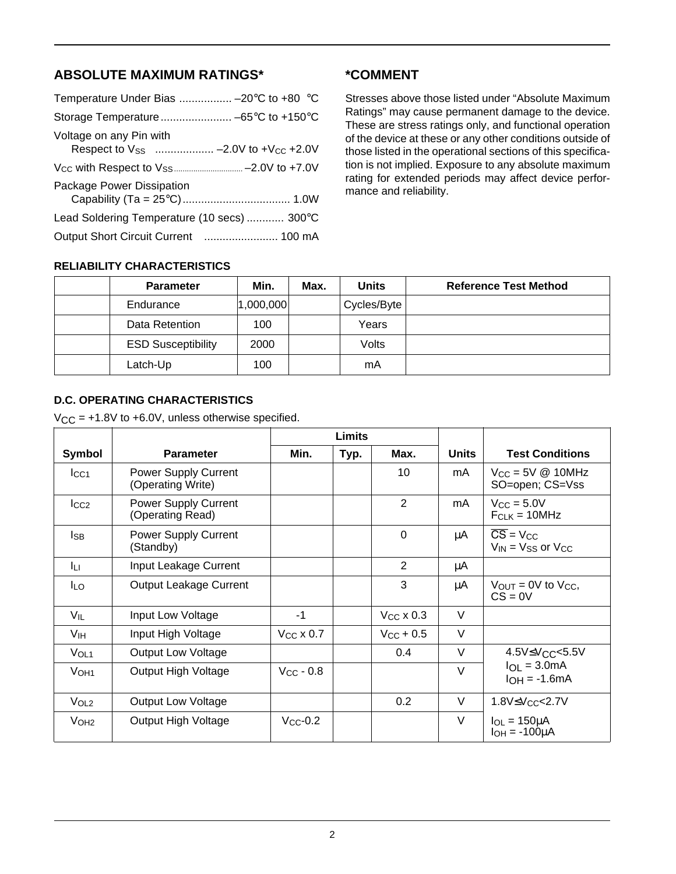# **ABSOLUTE MAXIMUM RATINGS\***

| Temperature Under Bias  -20°C to +80 °C     |
|---------------------------------------------|
|                                             |
|                                             |
|                                             |
|                                             |
| Lead Soldering Temperature (10 secs)  300°C |
|                                             |
|                                             |

**\*COMMENT**

Stresses above those listed under "Absolute Maximum Ratings" may cause permanent damage to the device. These are stress ratings only, and functional operation of the device at these or any other conditions outside of those listed in the operational sections of this specification is not implied. Exposure to any absolute maximum rating for extended periods may affect device performance and reliability.

#### **RELIABILITY CHARACTERISTICS**

| <b>Parameter</b>          | Min.      | Max. | <b>Units</b> | <b>Reference Test Method</b> |
|---------------------------|-----------|------|--------------|------------------------------|
| Endurance                 | 1,000,000 |      | Cycles/Byte  |                              |
| Data Retention            | 100       |      | Years        |                              |
| <b>ESD Susceptibility</b> | 2000      |      | Volts        |                              |
| Latch-Up                  | 100       |      | mA           |                              |

#### **D.C. OPERATING CHARACTERISTICS**

 $V_{CC}$  = +1.8V to +6.0V, unless otherwise specified.

|                  |                                                 |                | Limits |                    |              |                                                                             |
|------------------|-------------------------------------------------|----------------|--------|--------------------|--------------|-----------------------------------------------------------------------------|
| Symbol           | <b>Parameter</b>                                | Min.           | Typ.   | Max.               | <b>Units</b> | <b>Test Conditions</b>                                                      |
| Icc <sub>1</sub> | Power Supply Current<br>(Operating Write)       |                |        | 10                 | mA.          | $V_{CC} = 5V \textcircled{2} 10MHz$<br>SO=open; CS=Vss                      |
| $_{\text{LCC2}}$ | <b>Power Supply Current</b><br>(Operating Read) |                |        | 2                  | mA.          | $V_{CC} = 5.0V$<br>$F_{CLK} = 10 MHz$                                       |
| <b>I</b> sb      | <b>Power Supply Current</b><br>(Standby)        |                |        | $\Omega$           | μA           | $\overline{\text{CS}}$ = $V_{\text{CC}}$<br>$V_{IN}$ = $V_{SS}$ or $V_{CC}$ |
| Īц               | Input Leakage Current                           |                |        | 2                  | μA           |                                                                             |
| <b>ILO</b>       | <b>Output Leakage Current</b>                   |                |        | 3                  | μA           | $V_{OUT} = 0V$ to $V_{CC}$ ,<br>$CS = 0V$                                   |
| $V_{IL}$         | Input Low Voltage                               | $-1$           |        | $V_{CC}$ x 0.3     | $\vee$       |                                                                             |
| V <sub>IH</sub>  | Input High Voltage                              | $V_{CC}$ x 0.7 |        | $V_{\rm CC}$ + 0.5 | $\vee$       |                                                                             |
| V <sub>OL1</sub> | <b>Output Low Voltage</b>                       |                |        | 0.4                | $\vee$       | 4.5V≤V <sub>CC</sub> <5.5V                                                  |
| V <sub>OH1</sub> | Output High Voltage                             | $V_{CC} - 0.8$ |        |                    | $\vee$       | $I_{OL} = 3.0mA$<br>$I_{OH} = -1.6mA$                                       |
| V <sub>OL2</sub> | <b>Output Low Voltage</b>                       |                |        | 0.2                | $\vee$       | 1.8V≤Vcc<2.7V                                                               |
| V <sub>OH2</sub> | Output High Voltage                             | $V_{CC}$ -0.2  |        |                    | $\vee$       | $I_{OL} = 150 \mu A$<br>$I_{OH} = -100 \mu A$                               |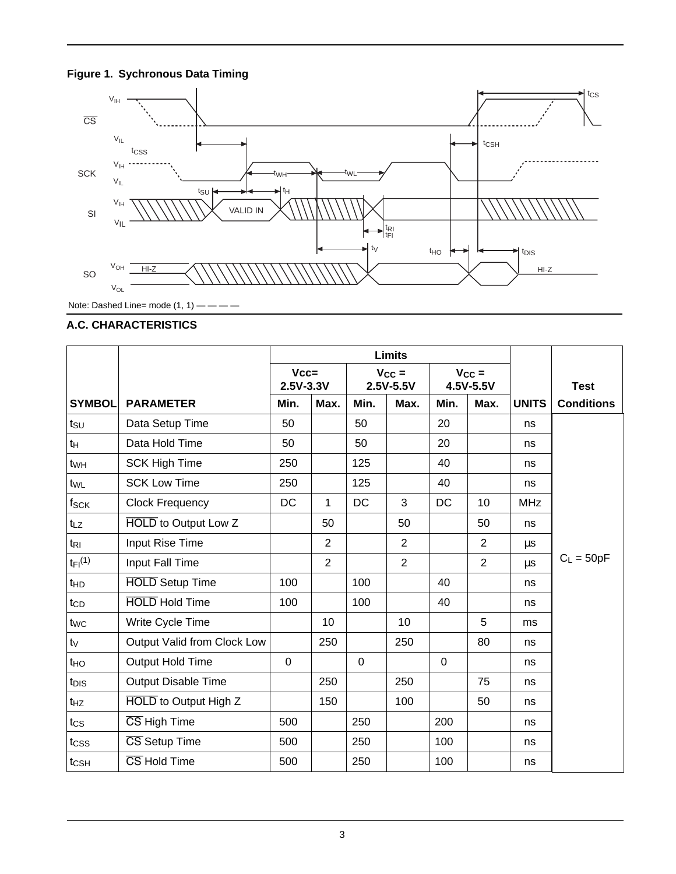



Note: Dashed Line= mode  $(1, 1)$  - - - -

### **A.C. CHARACTERISTICS**

|                         |                             | <b>Limits</b>       |                |                         |                |                         |                |              |                   |
|-------------------------|-----------------------------|---------------------|----------------|-------------------------|----------------|-------------------------|----------------|--------------|-------------------|
|                         |                             | $Vcc=$<br>2.5V-3.3V |                | $V_{CC} =$<br>2.5V-5.5V |                | $V_{CC} =$<br>4.5V-5.5V |                |              | <b>Test</b>       |
| <b>SYMBOL</b>           | <b>PARAMETER</b>            | Min.                | Max.           | Min.                    | Max.           | Min.                    | Max.           | <b>UNITS</b> | <b>Conditions</b> |
| $t_{\text{SU}}$         | Data Setup Time             | 50                  |                | 50                      |                | 20                      |                | ns           |                   |
| $t_H$                   | Data Hold Time              | 50                  |                | 50                      |                | 20                      |                | ns           |                   |
| twH                     | <b>SCK High Time</b>        | 250                 |                | 125                     |                | 40                      |                | ns           |                   |
| twL                     | <b>SCK Low Time</b>         | 250                 |                | 125                     |                | 40                      |                | ns           |                   |
| fsck                    | <b>Clock Frequency</b>      | DC                  | 1              | <b>DC</b>               | 3              | DC                      | 10             | <b>MHz</b>   |                   |
| t <sub>LZ</sub>         | <b>HOLD</b> to Output Low Z |                     | 50             |                         | 50             |                         | 50             | ns           |                   |
| $t_{\rm RI}$            | Input Rise Time             |                     | $\overline{2}$ |                         | $\overline{2}$ |                         | $\overline{2}$ | $\mu s$      |                   |
| $t_{FI}$ <sup>(1)</sup> | <b>Input Fall Time</b>      |                     | $\overline{2}$ |                         | $\overline{2}$ |                         | $\overline{2}$ | $\mu s$      | $C_L = 50pF$      |
| t <sub>HD</sub>         | <b>HOLD</b> Setup Time      | 100                 |                | 100                     |                | 40                      |                | ns           |                   |
| tc <sub>D</sub>         | <b>HOLD</b> Hold Time       | 100                 |                | 100                     |                | 40                      |                | ns           |                   |
| twc                     | Write Cycle Time            |                     | 10             |                         | 10             |                         | 5              | ms           |                   |
| $t_V$                   | Output Valid from Clock Low |                     | 250            |                         | 250            |                         | 80             | ns           |                   |
| t <sub>HO</sub>         | Output Hold Time            | $\mathbf 0$         |                | $\overline{0}$          |                | $\mathbf 0$             |                | ns           |                   |
| t <sub>DIS</sub>        | <b>Output Disable Time</b>  |                     | 250            |                         | 250            |                         | 75             | ns           |                   |
| $t_{HZ}$                | HOLD to Output High Z       |                     | 150            |                         | 100            |                         | 50             | ns           |                   |
| $t_{\text{CS}}$         | CS High Time                | 500                 |                | 250                     |                | 200                     |                | ns           |                   |
| tcss                    | CS Setup Time               | 500                 |                | 250                     |                | 100                     |                | ns           |                   |
| t <sub>CSH</sub>        | CS Hold Time                | 500                 |                | 250                     |                | 100                     |                | ns           |                   |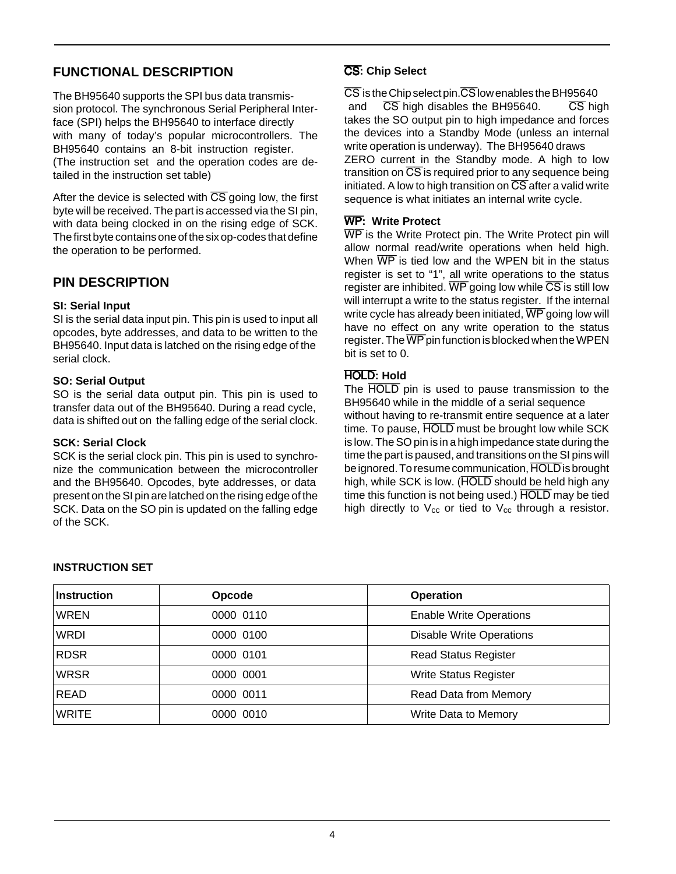# **FUNCTIONAL DESCRIPTION**

The BH95640 supports the SPI bus data transmission protocol. The synchronous Serial Peripheral Interface (SPI) helps the BH95640 to interface directly with many of today's popular microcontrollers. The BH95640 contains an 8-bit instruction register. (The instruction set and the operation codes are detailed in the instruction set table)

After the device is selected with  $\overline{CS}$  going low, the first byte will be received. The part is accessed via the SI pin, with data being clocked in on the rising edge of SCK. The first byte contains one of the six op-codes that define the operation to be performed.

# **PIN DESCRIPTION**

#### **SI: Serial Input**

BH95640. Input data is latched on the rising edge of the SI is the serial data input pin. This pin is used to input all opcodes, byte addresses, and data to be written to the serial clock.

#### **SO: Serial Output**

SO is the serial data output pin. This pin is used to transfer data out of the BH95640. During a read cycle, data is shifted out on the falling edge of the serial clock.

#### **SCK: Serial Clock**

SCK is the serial clock pin. This pin is used to synchronize the communication between the microcontroller and the BH95640. Opcodes, byte addresses, or data present on the SI pin are latched on the rising edge of the SCK. Data on the SO pin is updated on the falling edge of the SCK.

### CS**: Chip Select**

write operation is underway). The BH95640 draws and  $\overline{CS}$  high disables the BH95640.  $\overline{CS}$  high CS is the Chip select pin. CS low enables the BH95640 takes the SO output pin to high impedance and forces the devices into a Standby Mode (unless an internal ZERO current in the Standby mode. A high to low transition on  $\overline{CS}$  is required prior to any sequence being initiated. A low to high transition on  $\overline{CS}$  after a valid write sequence is what initiates an internal write cycle.

#### WP**: Write Protect**

WP is the Write Protect pin. The Write Protect pin will allow normal read/write operations when held high. When  $\overline{WP}$  is tied low and the WPEN bit in the status register is set to "1", all write operations to the status register are inhibited.  $\overline{WP}$  going low while  $\overline{CS}$  is still low will interrupt a write to the status register. If the internal write cycle has already been initiated,  $\overline{WP}$  going low will have no effect on any write operation to the status register. The  $\overline{WP}$  pin function is blocked when the WPEN bit is set to 0.

# HOLD**: Hold**

The HOLD pin is used to pause transmission to the BH95640 while in the middle of a serial sequence without having to re-transmit entire sequence at a later time. To pause, HOLD must be brought low while SCK is low. The SO pin is in a high impedance state during the time the part is paused, and transitions on the SI pins will be ignored. To resume communication, HOLD is brought high, while SCK is low. (HOLD should be held high any time this function is not being used.) HOLD may be tied high directly to  $V_{cc}$  or tied to  $V_{cc}$  through a resistor.

| <b>Instruction</b> | Opcode    | <b>Operation</b>                |
|--------------------|-----------|---------------------------------|
| <b>WREN</b>        | 0000 0110 | <b>Enable Write Operations</b>  |
| <b>WRDI</b>        | 0000 0100 | <b>Disable Write Operations</b> |
| <b>RDSR</b>        | 0000 0101 | <b>Read Status Register</b>     |
| <b>WRSR</b>        | 0000 0001 | Write Status Register           |
| <b>READ</b>        | 0000 0011 | Read Data from Memory           |
| <b>WRITE</b>       | 0000 0010 | Write Data to Memory            |

#### **INSTRUCTION SET**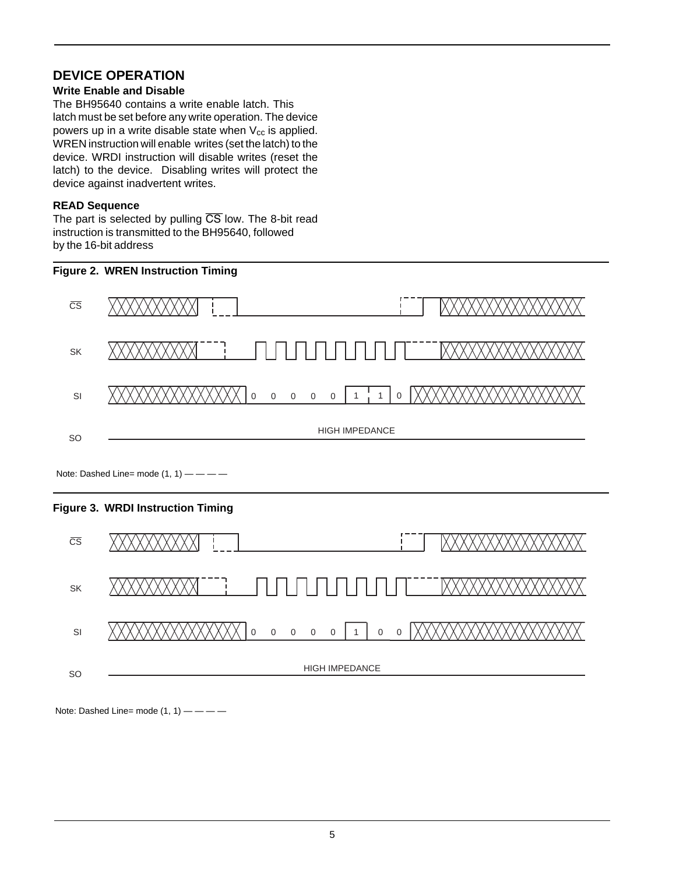# **DEVICE OPERATION**

#### **Write Enable and Disable**

The BH95640 contains a write enable latch. This latch must be set before any write operation. The device powers up in a write disable state when  $V_{cc}$  is applied. WREN instruction will enable writes (set the latch) to the device. WRDI instruction will disable writes (reset the latch) to the device. Disabling writes will protect the device against inadvertent writes.

#### **READ Sequence**

The part is selected by pulling  $\overline{CS}$  low. The 8-bit read instruction is transmitted to the BH95640, followed by the 16-bit address





HIGH IMPEDANCE

Note: Dashed Line= mode  $(1, 1)$  — — — —

SI

SO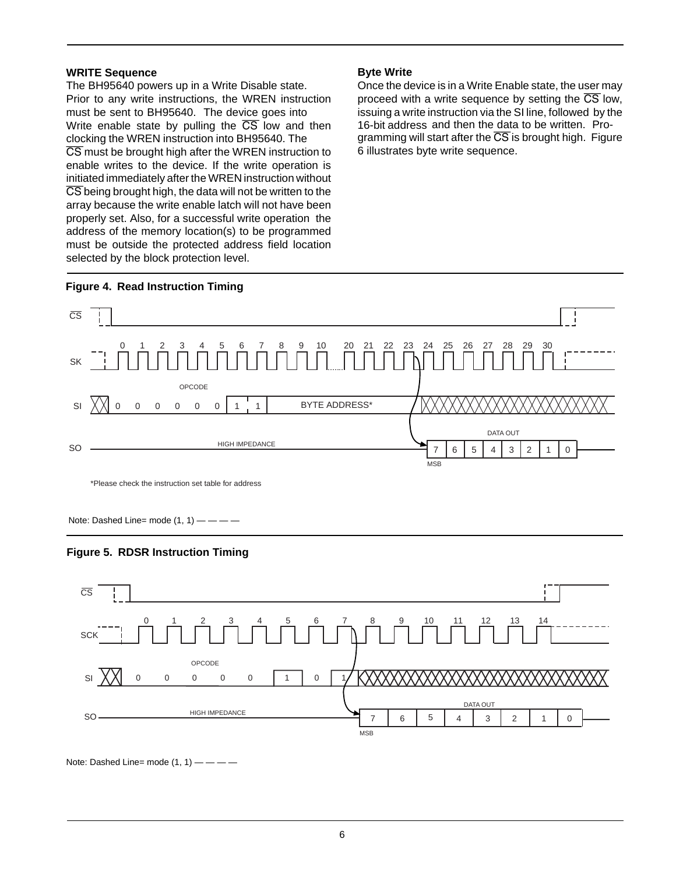#### **WRITE Sequence**

clocking the WREN instruction into BH95640. The The BH95640 powers up in a Write Disable state. Prior to any write instructions, the WREN instruction must be sent to BH95640. The device goes into Write enable state by pulling the  $\overline{CS}$  low and then CS must be brought high after the WREN instruction to enable writes to the device. If the write operation is initiated immediately after the WREN instruction without CS being brought high, the data will not be written to the array because the write enable latch will not have been properly set. Also, for a successful write operation the address of the memory location(s) to be programmed must be outside the protected address field location selected by the block protection level.

#### **Byte Write**

16-bit address and then the data to be written. Pro-Once the device is in a Write Enable state, the user may proceed with a write sequence by setting the  $\overline{CS}$  low, issuing a write instruction via the SI line, followed by the gramming will start after the  $\overline{CS}$  is brought high. Figure 6 illustrates byte write sequence.



\*Please check the instruction set table for address

Note: Dashed Line= mode  $(1, 1)$  — — — —





Note: Dashed Line= mode  $(1, 1)$  — — — —